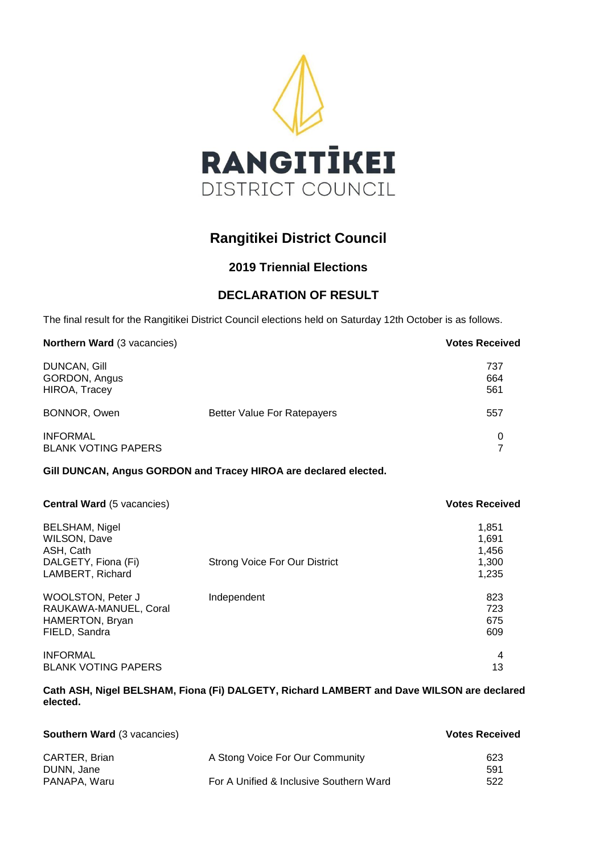

# **Rangitikei District Council**

# **2019 Triennial Elections**

# **DECLARATION OF RESULT**

The final result for the Rangitikei District Council elections held on Saturday 12th October is as follows.

| Northern Ward (3 vacancies)                           |                                    | <b>Votes Received</b> |
|-------------------------------------------------------|------------------------------------|-----------------------|
| <b>DUNCAN, Gill</b><br>GORDON, Angus<br>HIROA, Tracey |                                    | 737<br>664<br>561     |
| BONNOR, Owen                                          | <b>Better Value For Ratepayers</b> | 557                   |
| <b>INFORMAL</b><br><b>BLANK VOTING PAPERS</b>         |                                    | 0                     |

### **Gill DUNCAN, Angus GORDON and Tracey HIROA are declared elected.**

| <b>Central Ward (5 vacancies)</b>                                                     |                                      | <b>Votes Received</b>    |
|---------------------------------------------------------------------------------------|--------------------------------------|--------------------------|
| <b>BELSHAM, Nigel</b><br>WILSON, Dave<br>ASH, Cath                                    |                                      | 1,851<br>1.691<br>1,456  |
| DALGETY, Fiona (Fi)<br>LAMBERT, Richard                                               | <b>Strong Voice For Our District</b> | 1,300<br>1,235           |
| <b>WOOLSTON, Peter J</b><br>RAUKAWA-MANUEL, Coral<br>HAMERTON, Bryan<br>FIELD, Sandra | Independent                          | 823<br>723<br>675<br>609 |
| <b>INFORMAL</b><br><b>BLANK VOTING PAPERS</b>                                         |                                      | 4<br>13                  |

**Cath ASH, Nigel BELSHAM, Fiona (Fi) DALGETY, Richard LAMBERT and Dave WILSON are declared elected.** 

| <b>Southern Ward (3 vacancies)</b> |                                         | <b>Votes Received</b> |
|------------------------------------|-----------------------------------------|-----------------------|
| CARTER, Brian<br>DUNN, Jane        | A Stong Voice For Our Community         | 623<br>591            |
| PANAPA, Waru                       | For A Unified & Inclusive Southern Ward | 522                   |